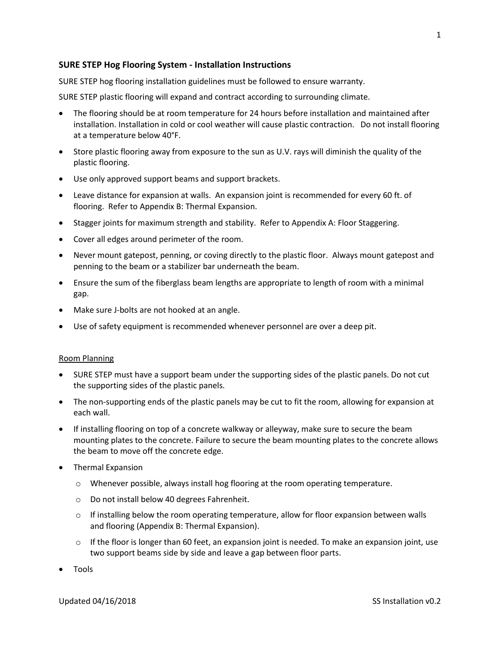# **SURE STEP Hog Flooring System - Installation Instructions**

SURE STEP hog flooring installation guidelines must be followed to ensure warranty.

SURE STEP plastic flooring will expand and contract according to surrounding climate.

- The flooring should be at room temperature for 24 hours before installation and maintained after installation. Installation in cold or cool weather will cause plastic contraction. Do not install flooring at a temperature below 40°F.
- Store plastic flooring away from exposure to the sun as U.V. rays will diminish the quality of the plastic flooring.
- Use only approved support beams and support brackets.
- Leave distance for expansion at walls. An expansion joint is recommended for every 60 ft. of flooring. Refer to Appendix B: Thermal Expansion.
- Stagger joints for maximum strength and stability. Refer to Appendix A: Floor Staggering.
- Cover all edges around perimeter of the room.
- Never mount gatepost, penning, or coving directly to the plastic floor. Always mount gatepost and penning to the beam or a stabilizer bar underneath the beam.
- Ensure the sum of the fiberglass beam lengths are appropriate to length of room with a minimal gap.
- Make sure J-bolts are not hooked at an angle.
- Use of safety equipment is recommended whenever personnel are over a deep pit.

#### Room Planning

- SURE STEP must have a support beam under the supporting sides of the plastic panels. Do not cut the supporting sides of the plastic panels.
- The non-supporting ends of the plastic panels may be cut to fit the room, allowing for expansion at each wall.
- If installing flooring on top of a concrete walkway or alleyway, make sure to secure the beam mounting plates to the concrete. Failure to secure the beam mounting plates to the concrete allows the beam to move off the concrete edge.
- Thermal Expansion
	- o Whenever possible, always install hog flooring at the room operating temperature.
	- o Do not install below 40 degrees Fahrenheit.
	- $\circ$  If installing below the room operating temperature, allow for floor expansion between walls and flooring (Appendix B: Thermal Expansion).
	- $\circ$  If the floor is longer than 60 feet, an expansion joint is needed. To make an expansion joint, use two support beams side by side and leave a gap between floor parts.
- Tools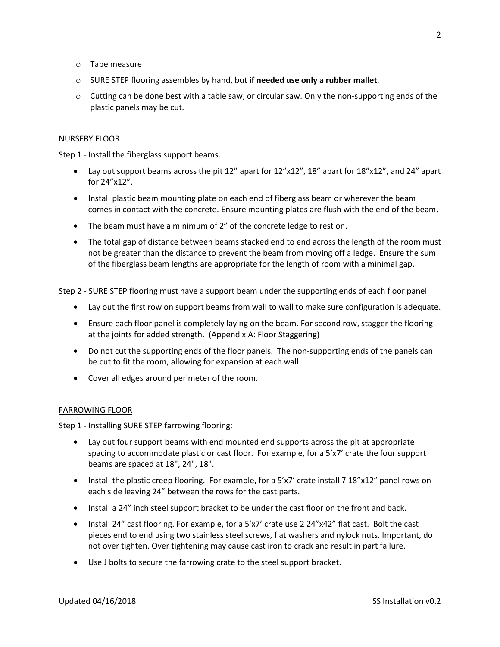- o Tape measure
- o SURE STEP flooring assembles by hand, but **if needed use only a rubber mallet**.
- $\circ$  Cutting can be done best with a table saw, or circular saw. Only the non-supporting ends of the plastic panels may be cut.

# NURSERY FLOOR

Step 1 - Install the fiberglass support beams.

- Lay out support beams across the pit  $12''$  apart for  $12''x12''$ ,  $18''$  apart for  $18''x12''$ , and  $24''$  apart for 24"x12".
- Install plastic beam mounting plate on each end of fiberglass beam or wherever the beam comes in contact with the concrete. Ensure mounting plates are flush with the end of the beam.
- The beam must have a minimum of 2" of the concrete ledge to rest on.
- The total gap of distance between beams stacked end to end across the length of the room must not be greater than the distance to prevent the beam from moving off a ledge. Ensure the sum of the fiberglass beam lengths are appropriate for the length of room with a minimal gap.

Step 2 - SURE STEP flooring must have a support beam under the supporting ends of each floor panel

- Lay out the first row on support beams from wall to wall to make sure configuration is adequate.
- Ensure each floor panel is completely laying on the beam. For second row, stagger the flooring at the joints for added strength. (Appendix A: Floor Staggering)
- Do not cut the supporting ends of the floor panels. The non-supporting ends of the panels can be cut to fit the room, allowing for expansion at each wall.
- Cover all edges around perimeter of the room.

## FARROWING FLOOR

Step 1 - Installing SURE STEP farrowing flooring:

- Lay out four support beams with end mounted end supports across the pit at appropriate spacing to accommodate plastic or cast floor. For example, for a 5'x7' crate the four support beams are spaced at 18", 24", 18".
- Install the plastic creep flooring. For example, for a 5'x7' crate install 7 18"x12" panel rows on each side leaving 24" between the rows for the cast parts.
- Install a 24" inch steel support bracket to be under the cast floor on the front and back.
- Install 24" cast flooring. For example, for a 5'x7' crate use 2 24"x42" flat cast. Bolt the cast pieces end to end using two stainless steel screws, flat washers and nylock nuts. Important, do not over tighten. Over tightening may cause cast iron to crack and result in part failure.
- Use J bolts to secure the farrowing crate to the steel support bracket.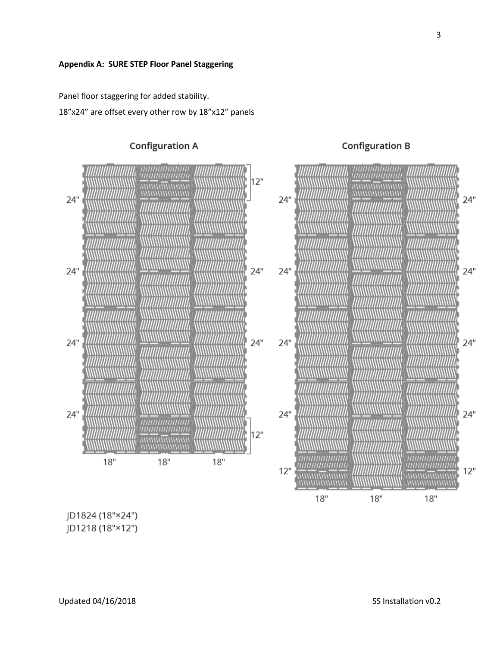Panel floor staggering for added stability.

18"x24" are offset every other row by 18"x12" panels



JD1824 (18"×24")

JD1218 (18"×12")